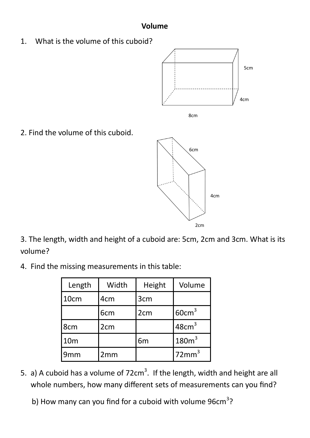## **Volume**

1. What is the volume of this cuboid?





2. Find the volume of this cuboid.



3. The length, width and height of a cuboid are: 5cm, 2cm and 3cm. What is its volume?

4. Find the missing measurements in this table:

| Length          | Width           | Height          | Volume            |
|-----------------|-----------------|-----------------|-------------------|
| 10cm            | 4 <sub>cm</sub> | 3cm             |                   |
|                 | 6 <sub>cm</sub> | 2 <sub>cm</sub> | 60cm <sup>3</sup> |
| 8cm             | 2 <sub>cm</sub> |                 | 48cm <sup>3</sup> |
| 10 <sub>m</sub> |                 | 6 <sub>m</sub>  | 180m <sup>3</sup> |
| 9mm             | 2mm             |                 | 72mm <sup>3</sup> |

- 5. a) A cuboid has a volume of  $72 \text{cm}^3$ . If the length, width and height are all whole numbers, how many different sets of measurements can you find?
- b) How many can you find for a cuboid with volume  $96cm^3$ ?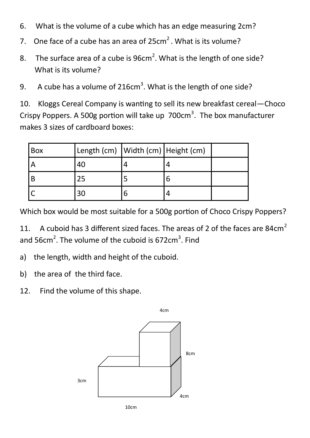- 6. What is the volume of a cube which has an edge measuring 2cm?
- 7. One face of a cube has an area of  $25 \text{cm}^2$ . What is its volume?
- 8. The surface area of a cube is  $96 \text{cm}^2$ . What is the length of one side? What is its volume?
- 9. A cube has a volume of 216cm<sup>3</sup>. What is the length of one side?

10. Kloggs Cereal Company is wanting to sell its new breakfast cereal—Choco Crispy Poppers. A 500g portion will take up  $700 \text{cm}^3$ . The box manufacturer makes 3 sizes of cardboard boxes:

| Box | Length (cm)   Width (cm)   Height (cm) |  |  |
|-----|----------------------------------------|--|--|
|     | 40                                     |  |  |
|     |                                        |  |  |
|     |                                        |  |  |

Which box would be most suitable for a 500g portion of Choco Crispy Poppers?

11. A cuboid has 3 different sized faces. The areas of 2 of the faces are 84 $cm<sup>2</sup>$ and 56cm<sup>2</sup>. The volume of the cuboid is 672cm<sup>3</sup>. Find

- a) the length, width and height of the cuboid.
- b) the area of the third face.
- 12. Find the volume of this shape.